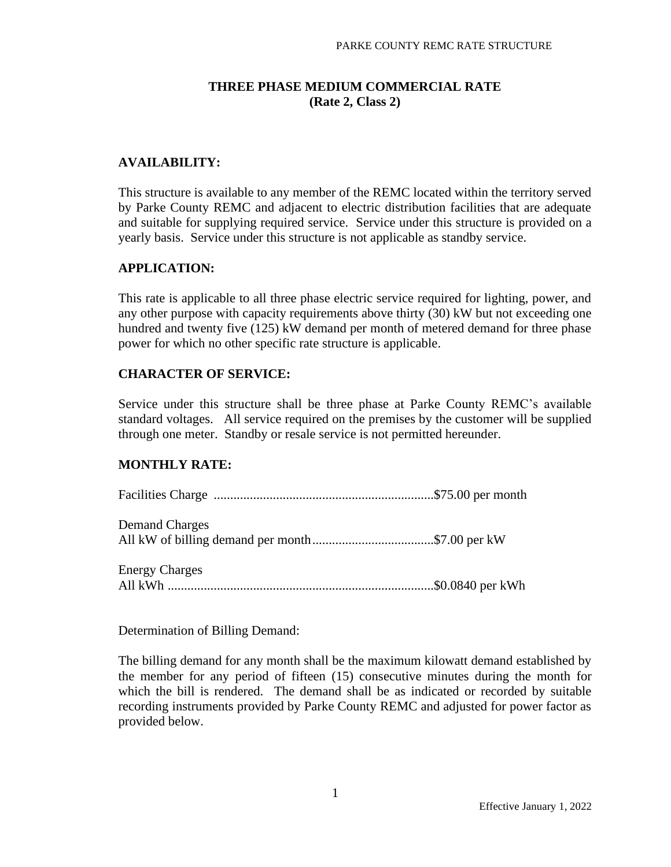## **THREE PHASE MEDIUM COMMERCIAL RATE (Rate 2, Class 2)**

### **AVAILABILITY:**

This structure is available to any member of the REMC located within the territory served by Parke County REMC and adjacent to electric distribution facilities that are adequate and suitable for supplying required service. Service under this structure is provided on a yearly basis. Service under this structure is not applicable as standby service.

#### **APPLICATION:**

This rate is applicable to all three phase electric service required for lighting, power, and any other purpose with capacity requirements above thirty (30) kW but not exceeding one hundred and twenty five (125) kW demand per month of metered demand for three phase power for which no other specific rate structure is applicable.

#### **CHARACTER OF SERVICE:**

Service under this structure shall be three phase at Parke County REMC's available standard voltages. All service required on the premises by the customer will be supplied through one meter. Standby or resale service is not permitted hereunder.

#### **MONTHLY RATE:**

| <b>Demand Charges</b> |  |
|-----------------------|--|
| <b>Energy Charges</b> |  |

Determination of Billing Demand:

The billing demand for any month shall be the maximum kilowatt demand established by the member for any period of fifteen (15) consecutive minutes during the month for which the bill is rendered. The demand shall be as indicated or recorded by suitable recording instruments provided by Parke County REMC and adjusted for power factor as provided below.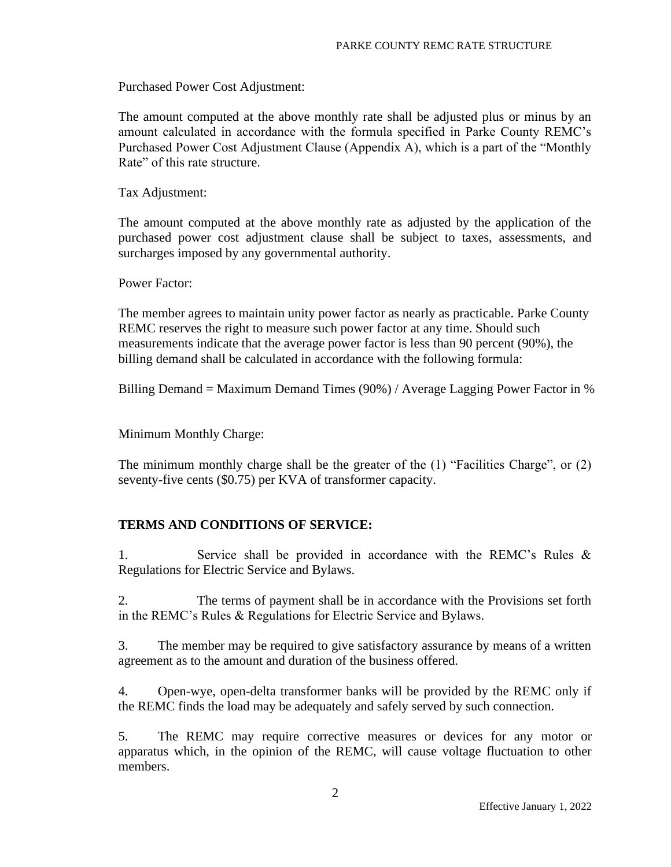Purchased Power Cost Adjustment:

The amount computed at the above monthly rate shall be adjusted plus or minus by an amount calculated in accordance with the formula specified in Parke County REMC's Purchased Power Cost Adjustment Clause (Appendix A), which is a part of the "Monthly Rate" of this rate structure.

Tax Adjustment:

The amount computed at the above monthly rate as adjusted by the application of the purchased power cost adjustment clause shall be subject to taxes, assessments, and surcharges imposed by any governmental authority.

Power Factor:

The member agrees to maintain unity power factor as nearly as practicable. Parke County REMC reserves the right to measure such power factor at any time. Should such measurements indicate that the average power factor is less than 90 percent (90%), the billing demand shall be calculated in accordance with the following formula:

Billing Demand = Maximum Demand Times (90%) / Average Lagging Power Factor in %

Minimum Monthly Charge:

The minimum monthly charge shall be the greater of the (1) "Facilities Charge", or (2) seventy-five cents (\$0.75) per KVA of transformer capacity.

# **TERMS AND CONDITIONS OF SERVICE:**

1. Service shall be provided in accordance with the REMC's Rules & Regulations for Electric Service and Bylaws.

2. The terms of payment shall be in accordance with the Provisions set forth in the REMC's Rules & Regulations for Electric Service and Bylaws.

3. The member may be required to give satisfactory assurance by means of a written agreement as to the amount and duration of the business offered.

4. Open-wye, open-delta transformer banks will be provided by the REMC only if the REMC finds the load may be adequately and safely served by such connection.

5. The REMC may require corrective measures or devices for any motor or apparatus which, in the opinion of the REMC, will cause voltage fluctuation to other members.